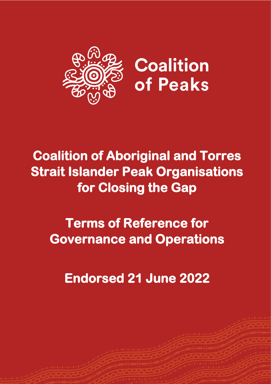

# **Coalition of Aboriginal and Torres Strait Islander Peak Organisations for Closing the Gap**

# **Terms of Reference for Governance and Operations**

**Endorsed 21 June 2022**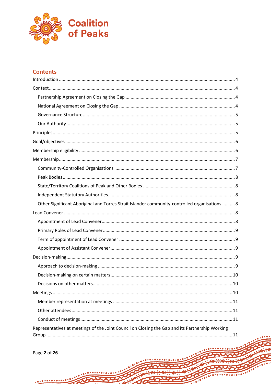

# **Contents**

| Other Significant Aboriginal and Torres Strait Islander community-controlled organisations  8 |
|-----------------------------------------------------------------------------------------------|
|                                                                                               |
|                                                                                               |
|                                                                                               |
|                                                                                               |
|                                                                                               |
|                                                                                               |
|                                                                                               |
|                                                                                               |
|                                                                                               |
|                                                                                               |
|                                                                                               |
|                                                                                               |
|                                                                                               |
|                                                                                               |

Page 2 of 26

 $\bullet \bullet \bullet \bullet$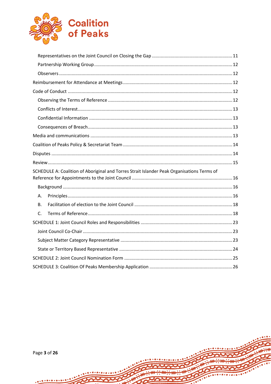

|         | SCHEDULE A: Coalition of Aboriginal and Torres Strait Islander Peak Organisations Terms of |  |  |  |
|---------|--------------------------------------------------------------------------------------------|--|--|--|
|         |                                                                                            |  |  |  |
|         |                                                                                            |  |  |  |
| А.      |                                                                                            |  |  |  |
| В.      |                                                                                            |  |  |  |
| $C_{1}$ |                                                                                            |  |  |  |
|         |                                                                                            |  |  |  |
|         |                                                                                            |  |  |  |
|         |                                                                                            |  |  |  |
|         |                                                                                            |  |  |  |
|         |                                                                                            |  |  |  |
|         |                                                                                            |  |  |  |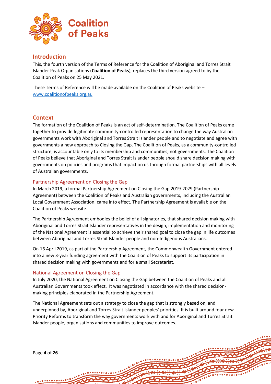

## <span id="page-3-0"></span>**Introduction**

This, the fourth version of the Terms of Reference for the Coalition of Aboriginal and Torres Strait Islander Peak Organisations (**Coalition of Peaks**), replaces the third version agreed to by the Coalition of Peaks on 25 May 2021.

These Terms of Reference will be made available on the Coalition of Peaks website – [www.coalitionofpeaks.org.au](http://www.coalitionofpeaks.org.au/)

## <span id="page-3-1"></span>**Context**

The formation of the Coalition of Peaks is an act of self-determination. The Coalition of Peaks came together to provide legitimate community-controlled representation to change the way Australian governments work with Aboriginal and Torres Strait Islander people and to negotiate and agree with governments a new approach to Closing the Gap. The Coalition of Peaks, as a community-controlled structure, is accountable only to its membership and communities, not governments. The Coalition of Peaks believe that Aboriginal and Torres Strait Islander people should share decision making with governments on policies and programs that impact on us through formal partnerships with all levels of Australian governments.

## <span id="page-3-2"></span>Partnership Agreement on Closing the Gap

In March 2019, a formal Partnership Agreement on Closing the Gap 2019-2029 (Partnership Agreement) between the Coalition of Peaks and Australian governments, including the Australian Local Government Association, came into effect. The Partnership Agreement is available on the Coalition of Peaks website.

The Partnership Agreement embodies the belief of all signatories, that shared decision making with Aboriginal and Torres Strait Islander representatives in the design, implementation and monitoring of the National Agreement is essential to achieve their shared goal to close the gap in life outcomes between Aboriginal and Torres Strait Islander people and non-Indigenous Australians.

On 16 April 2019, as part of the Partnership Agreement, the Commonwealth Government entered into a new 3-year funding agreement with the Coalition of Peaks to support its participation in shared decision making with governments and for a small Secretariat.

#### <span id="page-3-3"></span>National Agreement on Closing the Gap

In July 2020, the National Agreement on Closing the Gap between the Coalition of Peaks and all Australian Governments took effect. It was negotiated in accordance with the shared decisionmaking principles elaborated in the Partnership Agreement.

The National Agreement sets out a strategy to close the gap that is strongly based on, and underpinned by, Aboriginal and Torres Strait Islander peoples' priorities. It is built around four new Priority Reforms to transform the way governments work with and for Aboriginal and Torres Strait Islander people, organisations and communities to improve outcomes.

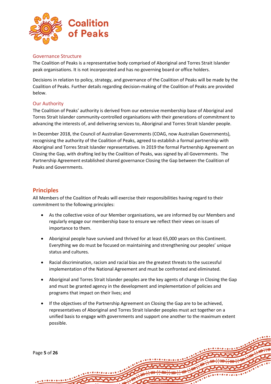

## <span id="page-4-0"></span>Governance Structure

The Coalition of Peaks is a representative body comprised of Aboriginal and Torres Strait Islander peak organisations. It is not incorporated and has no governing board or office holders.

Decisions in relation to policy, strategy, and governance of the Coalition of Peaks will be made by the Coalition of Peaks. Further details regarding decision-making of the Coalition of Peaks are provided below.

## <span id="page-4-1"></span>Our Authority

The Coalition of Peaks' authority is derived from our extensive membership base of Aboriginal and Torres Strait Islander community-controlled organisations with their generations of commitment to advancing the interests of, and delivering services to, Aboriginal and Torres Strait Islander people.

In December 2018, the Council of Australian Governments (COAG, now Australian Governments), recognising the authority of the Coalition of Peaks, agreed to establish a formal partnership with Aboriginal and Torres Strait Islander representatives. In 2019 the formal Partnership Agreement on Closing the Gap, with drafting led by the Coalition of Peaks, was signed by all Governments. The Partnership Agreement established shared governance Closing the Gap between the Coalition of Peaks and Governments.

## <span id="page-4-2"></span>**Principles**

All Members of the Coalition of Peaks will exercise their responsibilities having regard to their commitment to the following principles:

- As the collective voice of our Member organisations, we are informed by our Members and regularly engage our membership base to ensure we reflect their views on issues of importance to them.
- Aboriginal people have survived and thrived for at least 65,000 years on this Continent. Everything we do must be focused on maintaining and strengthening our peoples' unique status and cultures.
- Racial discrimination, racism and racial bias are the greatest threats to the successful implementation of the National Agreement and must be confronted and eliminated.
- Aboriginal and Torres Strait Islander peoples are the key agents of change in Closing the Gap and must be granted agency in the development and implementation of policies and programs that impact on their lives; and
- If the objectives of the Partnership Agreement on Closing the Gap are to be achieved, representatives of Aboriginal and Torres Strait Islander peoples must act together on a unified basis to engage with governments and support one another to the maximum extent possible.

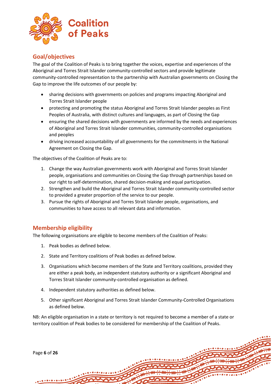

## <span id="page-5-0"></span>**Goal/objectives**

The goal of the Coalition of Peaks is to bring together the voices, expertise and experiences of the Aboriginal and Torres Strait Islander community-controlled sectors and provide legitimate community-controlled representation to the partnership with Australian governments on Closing the Gap to improve the life outcomes of our people by:

- sharing decisions with governments on policies and programs impacting Aboriginal and Torres Strait Islander people
- protecting and promoting the status Aboriginal and Torres Strait Islander peoples as First Peoples of Australia, with distinct cultures and languages, as part of Closing the Gap
- ensuring the shared decisions with governments are informed by the needs and experiences of Aboriginal and Torres Strait Islander communities, community-controlled organisations and peoples
- driving increased accountability of all governments for the commitments in the National Agreement on Closing the Gap.

The objectives of the Coalition of Peaks are to:

- 1. Change the way Australian governments work with Aboriginal and Torres Strait Islander people, organisations and communities on Closing the Gap through partnerships based on our right to self-determination, shared decision-making and equal participation.
- 2. Strengthen and build the Aboriginal and Torres Strait Islander community-controlled sector to provided a greater proportion of the service to our people.
- 3. Pursue the rights of Aboriginal and Torres Strait Islander people, organisations, and communities to have access to all relevant data and information.

## <span id="page-5-1"></span>**Membership eligibility**

The following organisations are eligible to become members of the Coalition of Peaks:

- 1. Peak bodies as defined below.
- 2. State and Territory coalitions of Peak bodies as defined below.
- 3. Organisations which become members of the State and Territory coalitions, provided they are either a peak body, an independent statutory authority or a significant Aboriginal and Torres Strait Islander community-controlled organisation as defined.
- 4. Independent statutory authorities as defined below.
- 5. Other significant Aboriginal and Torres Strait Islander Community-Controlled Organisations as defined below.

NB: An eligible organisation in a state or territory is not required to become a member of a state or territory coalition of Peak bodies to be considered for membership of the Coalition of Peaks.

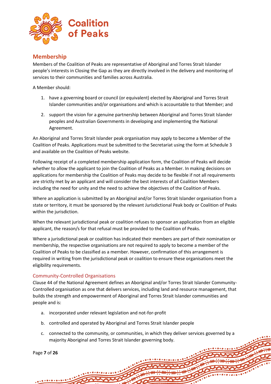

## <span id="page-6-0"></span>**Membership**

Members of the Coalition of Peaks are representative of Aboriginal and Torres Strait Islander people's interests in Closing the Gap as they are directly involved in the delivery and monitoring of services to their communities and families across Australia.

A Member should:

- 1. have a governing board or council (or equivalent) elected by Aboriginal and Torres Strait Islander communities and/or organisations and which is accountable to that Member; and
- 2. support the vision for a genuine partnership between Aboriginal and Torres Strait Islander peoples and Australian Governments in developing and implementing the National Agreement.

An Aboriginal and Torres Strait Islander peak organisation may apply to become a Member of the Coalition of Peaks. Applications must be submitted to the Secretariat using the form at Schedule 3 and available on the Coalition of Peaks website.

Following receipt of a completed membership application form, the Coalition of Peaks will decide whether to allow the applicant to join the Coalition of Peaks as a Member. In making decisions on applications for membership the Coalition of Peaks may decide to be flexible if not all requirements are strictly met by an applicant and will consider the best interests of all Coalition Members including the need for unity and the need to achieve the objectives of the Coalition of Peaks.

Where an application is submitted by an Aboriginal and/or Torres Strait Islander organisation from a state or territory, it must be sponsored by the relevant Jurisdictional Peak body or Coalition of Peaks within the jurisdiction.

When the relevant jurisdictional peak or coalition refuses to sponsor an application from an eligible applicant, the reason/s for that refusal must be provided to the Coalition of Peaks.

Where a jurisdictional peak or coalition has indicated their members are part of their nomination or membership, the respective organisations are not required to apply to become a member of the Coalition of Peaks to be classified as a member. However, confirmation of this arrangement is required in writing from the jurisdictional peak or coalition to ensure these organisations meet the eligibility requirements.

## <span id="page-6-1"></span>Community-Controlled Organisations

Clause 44 of the National Agreement defines an Aboriginal and/or Torres Strait Islander Community-Controlled organisation as one that delivers services, including land and resource management, that builds the strength and empowerment of Aboriginal and Torres Strait Islander communities and people and is:

- a. incorporated under relevant legislation and not-for-profit
- b. controlled and operated by Aboriginal and Torres Strait Islander people
- c. connected to the community, or communities, in which they deliver services governed by a majority Aboriginal and Torres Strait Islander governing body.

Page **7** of **26**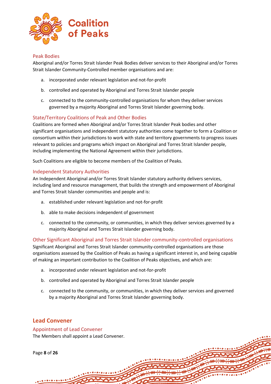

## <span id="page-7-0"></span>Peak Bodies

Aboriginal and/or Torres Strait Islander Peak Bodies deliver services to their Aboriginal and/or Torres Strait Islander Community-Controlled member organisations and are:

- a. incorporated under relevant legislation and not-for-profit
- b. controlled and operated by Aboriginal and Torres Strait Islander people
- c. connected to the community-controlled organisations for whom they deliver services governed by a majority Aboriginal and Torres Strait Islander governing body.

## <span id="page-7-1"></span>State/Territory Coalitions of Peak and Other Bodies

Coalitions are formed when Aboriginal and/or Torres Strait Islander Peak bodies and other significant organisations and independent statutory authorities come together to form a Coalition or consortium within their jurisdictions to work with state and territory governments to progress issues relevant to policies and programs which impact on Aboriginal and Torres Strait Islander people, including implementing the National Agreement within their jurisdictions.

Such Coalitions are eligible to become members of the Coalition of Peaks.

### <span id="page-7-2"></span>Independent Statutory Authorities

An Independent Aboriginal and/or Torres Strait Islander statutory authority delivers services, including land and resource management, that builds the strength and empowerment of Aboriginal and Torres Strait Islander communities and people and is:

- a. established under relevant legislation and not-for-profit
- b. able to make decisions independent of government
- c. connected to the community, or communities, in which they deliver services governed by a majority Aboriginal and Torres Strait Islander governing body.

<span id="page-7-3"></span>Other Significant Aboriginal and Torres Strait Islander community-controlled organisations Significant Aboriginal and Torres Strait Islander community-controlled organisations are those organisations assessed by the Coalition of Peaks as having a significant interest in, and being capable of making an important contribution to the Coalition of Peaks objectives, and which are:

- a. incorporated under relevant legislation and not-for-profit
- b. controlled and operated by Aboriginal and Torres Strait Islander people
- c. connected to the community, or communities, in which they deliver services and governed by a majority Aboriginal and Torres Strait Islander governing body.

## <span id="page-7-4"></span>**Lead Convener**

## <span id="page-7-5"></span>Appointment of Lead Convener

The Members shall appoint a Lead Convener.

Page **8** of **26**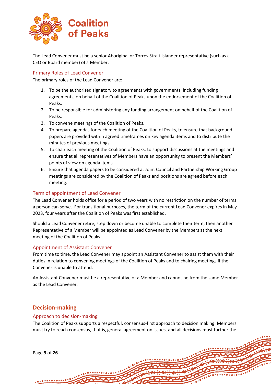

The Lead Convener must be a senior Aboriginal or Torres Strait Islander representative (such as a CEO or Board member) of a Member.

## <span id="page-8-0"></span>Primary Roles of Lead Convener

The primary roles of the Lead Convener are:

- 1. To be the authorised signatory to agreements with governments, including funding agreements, on behalf of the Coalition of Peaks upon the endorsement of the Coalition of Peaks.
- 2. To be responsible for administering any funding arrangement on behalf of the Coalition of Peaks.
- 3. To convene meetings of the Coalition of Peaks.
- 4. To prepare agendas for each meeting of the Coalition of Peaks, to ensure that background papers are provided within agreed timeframes on key agenda items and to distribute the minutes of previous meetings.
- 5. To chair each meeting of the Coalition of Peaks, to support discussions at the meetings and ensure that all representatives of Members have an opportunity to present the Members' points of view on agenda items.
- 6. Ensure that agenda papers to be considered at Joint Council and Partnership Working Group meetings are considered by the Coalition of Peaks and positions are agreed before each meeting.

## <span id="page-8-1"></span>Term of appointment of Lead Convener

The Lead Convener holds office for a period of two years with no restriction on the number of terms a person can serve. For transitional purposes, the term of the current Lead Convener expires in May 2023, four years after the Coalition of Peaks was first established.

Should a Lead Convener retire, step down or become unable to complete their term, then another Representative of a Member will be appointed as Lead Convener by the Members at the next meeting of the Coalition of Peaks.

#### <span id="page-8-2"></span>Appointment of Assistant Convener

From time to time, the Lead Convener may appoint an Assistant Convener to assist them with their duties in relation to convening meetings of the Coalition of Peaks and to chairing meetings if the Convener is unable to attend.

An Assistant Convener must be a representative of a Member and cannot be from the same Member as the Lead Convener.

## <span id="page-8-3"></span>**Decision-making**

#### <span id="page-8-4"></span>Approach to decision-making

The Coalition of Peaks supports a respectful, consensus-first approach to decision making. Members must try to reach consensus, that is, general agreement on issues, and all decisions must further the

Page **9** of **26**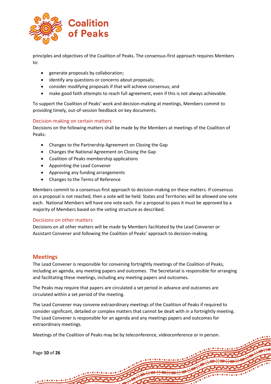

principles and objectives of the Coalition of Peaks. The consensus-first approach requires Members to:

- generate proposals by collaboration;
- identify any questions or concerns about proposals;
- consider modifying proposals if that will achieve consensus; and
- make good faith attempts to reach full agreement, even if this is not always achievable.

To support the Coalition of Peaks' work and decision-making at meetings, Members commit to providing timely, out-of-session feedback on key documents.

### <span id="page-9-0"></span>Decision-making on certain matters

Decisions on the following matters shall be made by the Members at meetings of the Coalition of Peaks:

- Changes to the Partnership Agreement on Closing the Gap
- Changes the National Agreement on Closing the Gap
- Coalition of Peaks membership applications
- Appointing the Lead Convener
- Approving any funding arrangements
- Changes to the Terms of Reference

Members commit to a consensus-first approach to decision-making on these matters. If consensus on a proposal is not reached, then a vote will be held. States and Territories will be allowed one vote each. National Members will have one vote each. For a proposal to pass it must be approved by a majority of Members based on the voting structure as described.

#### <span id="page-9-1"></span>Decisions on other matters

Decisions on all other matters will be made by Members facilitated by the Lead Convener or Assistant Convener and following the Coalition of Peaks' approach to decision-making.

## <span id="page-9-2"></span>**Meetings**

The Lead Convener is responsible for convening fortnightly meetings of the Coalition of Peaks, including an agenda, any meeting papers and outcomes. The Secretariat is responsible for arranging and facilitating these meetings, including any meeting papers and outcomes.

The Peaks may require that papers are circulated a set period in advance and outcomes are circulated within a set period of the meeting.

The Lead Convener may convene extraordinary meetings of the Coalition of Peaks if required to consider significant, detailed or complex matters that cannot be dealt with in a fortnightly meeting. The Lead Convener is responsible for an agenda and any meetings papers and outcomes for extraordinary meetings.

Meetings of the Coalition of Peaks may be by teleconference, videoconference or in person.

Page **10** of **26**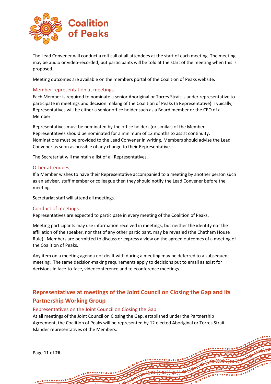

The Lead Convener will conduct a roll-call of all attendees at the start of each meeting. The meeting may be audio or video-recorded, but participants will be told at the start of the meeting when this is proposed.

Meeting outcomes are available on the members portal of the Coalition of Peaks website.

## <span id="page-10-0"></span>Member representation at meetings

Each Member is required to nominate a senior Aboriginal or Torres Strait Islander representative to participate in meetings and decision making of the Coalition of Peaks (a Representative). Typically, Representatives will be either a senior office holder such as a Board member or the CEO of a Member.

Representatives must be nominated by the office holders (or similar) of the Member. Representatives should be nominated for a minimum of 12 months to assist continuity. Nominations must be provided to the Lead Convener in writing. Members should advise the Lead Convener as soon as possible of any change to their Representative.

The Secretariat will maintain a list of all Representatives.

### <span id="page-10-1"></span>Other attendees

If a Member wishes to have their Representative accompanied to a meeting by another person such as an adviser, staff member or colleague then they should notify the Lead Convener before the meeting.

Secretariat staff will attend all meetings.

#### <span id="page-10-2"></span>Conduct of meetings

Representatives are expected to participate in every meeting of the Coalition of Peaks.

Meeting participants may use information received in meetings, but neither the identity nor the affiliation of the speaker, nor that of any other participant, may be revealed (the Chatham House Rule). Members are permitted to discuss or express a view on the agreed outcomes of a meeting of the Coalition of Peaks.

Any item on a meeting agenda not dealt with during a meeting may be deferred to a subsequent meeting. The same decision-making requirements apply to decisions put to email as exist for decisions in face-to-face, videoconference and teleconference meetings.

## <span id="page-10-3"></span>**Representatives at meetings of the Joint Council on Closing the Gap and its Partnership Working Group**

#### <span id="page-10-4"></span>Representatives on the Joint Council on Closing the Gap

At all meetings of the Joint Council on Closing the Gap, established under the Partnership Agreement, the Coalition of Peaks will be represented by 12 elected Aboriginal or Torres Strait Islander representatives of the Members.

Page **11** of **26**  $0.1010101010$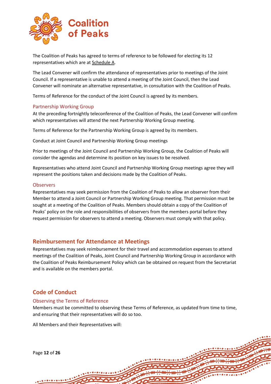

The Coalition of Peaks has agreed to terms of reference to be followed for electing its 12 representatives which are at Schedule A.

The Lead Convener will confirm the attendance of representatives prior to meetings of the Joint Council. If a representative is unable to attend a meeting of the Joint Council, then the Lead Convener will nominate an alternative representative, in consultation with the Coalition of Peaks.

Terms of Reference for the conduct of the Joint Council is agreed by its members.

## <span id="page-11-0"></span>Partnership Working Group

At the preceding fortnightly teleconference of the Coalition of Peaks, the Lead Convener will confirm which representatives will attend the next Partnership Working Group meeting.

Terms of Reference for the Partnership Working Group is agreed by its members.

Conduct at Joint Council and Partnership Working Group meetings

Prior to meetings of the Joint Council and Partnership Working Group, the Coalition of Peaks will consider the agendas and determine its position on key issues to be resolved.

Representatives who attend Joint Council and Partnership Working Group meetings agree they will represent the positions taken and decisions made by the Coalition of Peaks.

### <span id="page-11-1"></span>**Observers**

Representatives may seek permission from the Coalition of Peaks to allow an observer from their Member to attend a Joint Council or Partnership Working Group meeting. That permission must be sought at a meeting of the Coalition of Peaks. Members should obtain a copy of the Coalition of Peaks' policy on the role and responsibilities of observers from the members portal before they request permission for observers to attend a meeting. Observers must comply with that policy.

## <span id="page-11-2"></span>**Reimbursement for Attendance at Meetings**

Representatives may seek reimbursement for their travel and accommodation expenses to attend meetings of the Coalition of Peaks, Joint Council and Partnership Working Group in accordance with the Coalition of Peaks Reimbursement Policy which can be obtained on request from the Secretariat and is available on the members portal.

## <span id="page-11-3"></span>**Code of Conduct**

## <span id="page-11-4"></span>Observing the Terms of Reference

Members must be committed to observing these Terms of Reference, as updated from time to time, and ensuring that their representatives will do so too.

All Members and their Representatives will:

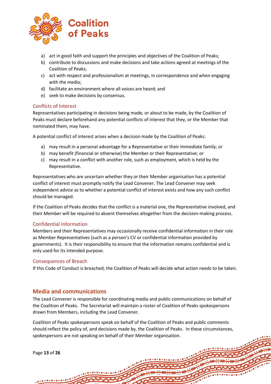

- a) act in good faith and support the principles and objectives of the Coalition of Peaks;
- b) contribute to discussions and make decisions and take actions agreed at meetings of the Coalition of Peaks;
- c) act with respect and professionalism at meetings, in correspondence and when engaging with the media;
- d) facilitate an environment where all voices are heard; and
- e) seek to make decisions by consensus.

## <span id="page-12-0"></span>Conflicts of Interest

Representatives participating in decisions being made, or about to be made, by the Coalition of Peaks must declare beforehand any potential conflicts of interest that they, or the Member that nominated them, may have.

A potential conflict of interest arises when a decision made by the Coalition of Peaks:

- a) may result in a personal advantage for a Representative or their immediate family; or
- b) may benefit (financial or otherwise) the Member or their Representative; or
- c) may result in a conflict with another role, such as employment, which is held by the Representative.

Representatives who are uncertain whether they or their Member organisation has a potential conflict of interest must promptly notify the Lead Convener. The Lead Convener may seek independent advice as to whether a potential conflict of interest exists and how any such conflict should be managed.

If the Coalition of Peaks decides that the conflict is a material one, the Representative involved, and their Member will be required to absent themselves altogether from the decision-making process.

## <span id="page-12-1"></span>Confidential Information

Members and their Representatives may occasionally receive confidential information in their role as Member Representatives (such as a person's CV or confidential information provided by governments). It is their responsibility to ensure that the information remains confidential and is only used for its intended purpose.

## <span id="page-12-2"></span>Consequences of Breach

If this Code of Conduct is breached, the Coalition of Peaks will decide what action needs to be taken.

## <span id="page-12-3"></span>**Media and communications**

The Lead Convener is responsible for coordinating media and public communications on behalf of the Coalition of Peaks.  The Secretariat will maintain a roster of Coalition of Peaks spokespersons drawn from Members, including the Lead Convener.  

Coalition of Peaks spokespersons speak on behalf of the Coalition of Peaks and public comments should reflect the policy of, and decisions made by, the Coalition of Peaks.  In these circumstances, spokespersons are not speaking on behalf of their Member organisation. 

Page **13** of **26**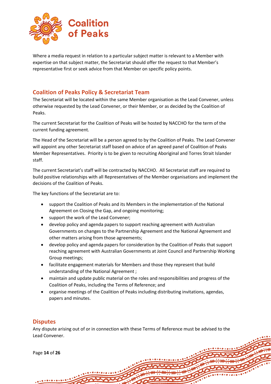

Where a media request in relation to a particular subject matter is relevant to a Member with expertise on that subject matter, the Secretariat should offer the request to that Member's representative first or seek advice from that Member on specific policy points.

## <span id="page-13-0"></span>**Coalition of Peaks Policy & Secretariat Team**

The Secretariat will be located within the same Member organisation as the Lead Convener, unless otherwise requested by the Lead Convener, or their Member, or as decided by the Coalition of Peaks.

The current Secretariat for the Coalition of Peaks will be hosted by NACCHO for the term of the current funding agreement.

The Head of the Secretariat will be a person agreed to by the Coalition of Peaks. The Lead Convener will appoint any other Secretariat staff based on advice of an agreed panel of Coalition of Peaks Member Representatives. Priority is to be given to recruiting Aboriginal and Torres Strait Islander staff.

The current Secretariat's staff will be contracted by NACCHO. All Secretariat staff are required to build positive relationships with all Representatives of the Member organisations and implement the decisions of the Coalition of Peaks.

The key functions of the Secretariat are to:

- support the Coalition of Peaks and its Members in the implementation of the National Agreement on Closing the Gap, and ongoing monitoring;
- support the work of the Lead Convener;
- develop policy and agenda papers to support reaching agreement with Australian Governments on changes to the Partnership Agreement and the National Agreement and other matters arising from those agreements;
- develop policy and agenda papers for consideration by the Coalition of Peaks that support reaching agreement with Australian Governments at Joint Council and Partnership Working Group meetings;
- facilitate engagement materials for Members and those they represent that build understanding of the National Agreement ;
- maintain and update public material on the roles and responsibilities and progress of the Coalition of Peaks, including the Terms of Reference; and
- organise meetings of the Coalition of Peaks including distributing invitations, agendas, papers and minutes.

## <span id="page-13-1"></span>**Disputes**

Any dispute arising out of or in connection with these Terms of Reference must be advised to the Lead Convener.

Page **14** of **26**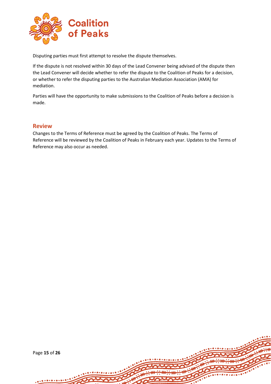

Disputing parties must first attempt to resolve the dispute themselves.

If the dispute is not resolved within 30 days of the Lead Convener being advised of the dispute then the Lead Convener will decide whether to refer the dispute to the Coalition of Peaks for a decision, or whether to refer the disputing parties to the Australian Mediation Association (AMA) for mediation.

Parties will have the opportunity to make submissions to the Coalition of Peaks before a decision is made.

## <span id="page-14-0"></span>**Review**

Changes to the Terms of Reference must be agreed by the Coalition of Peaks. The Terms of Reference will be reviewed by the Coalition of Peaks in February each year. Updates to the Terms of Reference may also occur as needed.

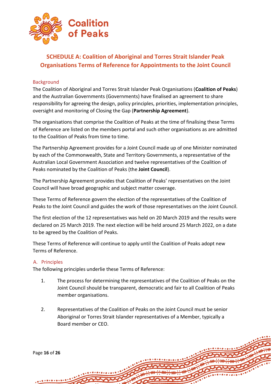

# <span id="page-15-0"></span>**SCHEDULE A: Coalition of Aboriginal and Torres Strait Islander Peak Organisations Terms of Reference for Appointments to the Joint Council**

## <span id="page-15-1"></span>**Background**

The Coalition of Aboriginal and Torres Strait Islander Peak Organisations (**Coalition of Peaks**) and the Australian Governments (Governments) have finalised an agreement to share responsibility for agreeing the design, policy principles, priorities, implementation principles, oversight and monitoring of Closing the Gap (**Partnership Agreement**).

The organisations that comprise the Coalition of Peaks at the time of finalising these Terms of Reference are listed on the members portal and such other organisations as are admitted to the Coalition of Peaks from time to time.

The Partnership Agreement provides for a Joint Council made up of one Minister nominated by each of the Commonwealth, State and Territory Governments, a representative of the Australian Local Government Association and twelve representatives of the Coalition of Peaks nominated by the Coalition of Peaks (the **Joint Council**).

The Partnership Agreement provides that Coalition of Peaks' representatives on the Joint Council will have broad geographic and subject matter coverage.

These Terms of Reference govern the election of the representatives of the Coalition of Peaks to the Joint Council and guides the work of those representatives on the Joint Council.

The first election of the 12 representatives was held on 20 March 2019 and the results were declared on 25 March 2019. The next election will be held around 25 March 2022, on a date to be agreed by the Coalition of Peaks.

These Terms of Reference will continue to apply until the Coalition of Peaks adopt new Terms of Reference.

## <span id="page-15-2"></span>A. Principles

The following principles underlie these Terms of Reference:

- 1. The process for determining the representatives of the Coalition of Peaks on the Joint Council should be transparent, democratic and fair to all Coalition of Peaks member organisations.
- 2. Representatives of the Coalition of Peaks on the Joint Council must be senior Aboriginal or Torres Strait Islander representatives of a Member, typically a Board member or CEO.

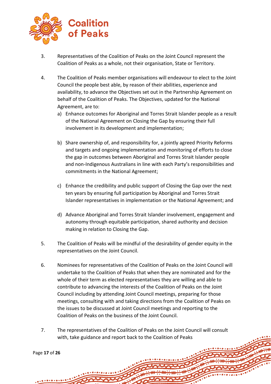

- 3. Representatives of the Coalition of Peaks on the Joint Council represent the Coalition of Peaks as a whole, not their organisation, State or Territory.
- 4. The Coalition of Peaks member organisations will endeavour to elect to the Joint Council the people best able, by reason of their abilities, experience and availability, to advance the Objectives set out in the Partnership Agreement on behalf of the Coalition of Peaks. The Objectives, updated for the National Agreement, are to:
	- a) Enhance outcomes for Aboriginal and Torres Strait Islander people as a result of the National Agreement on Closing the Gap by ensuring their full involvement in its development and implementation;
	- b) Share ownership of, and responsibility for, a jointly agreed Priority Reforms and targets and ongoing implementation and monitoring of efforts to close the gap in outcomes between Aboriginal and Torres Strait Islander people and non-Indigenous Australians in line with each Party's responsibilities and commitments in the National Agreement;
	- c) Enhance the credibility and public support of Closing the Gap over the next ten years by ensuring full participation by Aboriginal and Torres Strait Islander representatives in implementation or the National Agreement; and
	- d) Advance Aboriginal and Torres Strait Islander involvement, engagement and autonomy through equitable participation, shared authority and decision making in relation to Closing the Gap.
- 5. The Coalition of Peaks will be mindful of the desirability of gender equity in the representatives on the Joint Council.
- 6. Nominees for representatives of the Coalition of Peaks on the Joint Council will undertake to the Coalition of Peaks that when they are nominated and for the whole of their term as elected representatives they are willing and able to contribute to advancing the interests of the Coalition of Peaks on the Joint Council including by attending Joint Council meetings, preparing for those meetings, consulting with and taking directions from the Coalition of Peaks on the issues to be discussed at Joint Council meetings and reporting to the Coalition of Peaks on the business of the Joint Council.
- 7. The representatives of the Coalition of Peaks on the Joint Council will consult with, take guidance and report back to the Coalition of Peaks

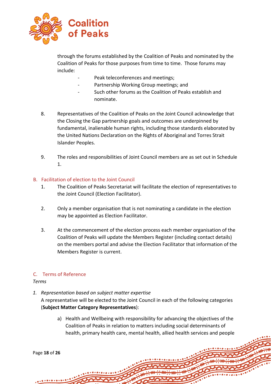

through the forums established by the Coalition of Peaks and nominated by the Coalition of Peaks for those purposes from time to time. Those forums may include:

- Peak teleconferences and meetings:
- Partnership Working Group meetings; and
- Such other forums as the Coalition of Peaks establish and nominate.
- 8. Representatives of the Coalition of Peaks on the Joint Council acknowledge that the Closing the Gap partnership goals and outcomes are underpinned by fundamental, inalienable human rights, including those standards elaborated by the United Nations Declaration on the Rights of Aboriginal and Torres Strait Islander Peoples.
- 9. The roles and responsibilities of Joint Council members are as set out in Schedule 1.

## <span id="page-17-0"></span>B. Facilitation of election to the Joint Council

- 1. The Coalition of Peaks Secretariat will facilitate the election of representatives to the Joint Council (Election Facilitator).
- 2. Only a member organisation that is not nominating a candidate in the election may be appointed as Election Facilitator.
- 3. At the commencement of the election process each member organisation of the Coalition of Peaks will update the Members Register (including contact details) on the members portal and advise the Election Facilitator that information of the Members Register is current.

## <span id="page-17-1"></span>C. Terms of Reference

## *Terms*

*1. Representation based on subject matter expertise* 

A representative will be elected to the Joint Council in each of the following categories (**Subject Matter Category Representatives**):

a) Health and Wellbeing with responsibility for advancing the objectives of the Coalition of Peaks in relation to matters including social determinants of health, primary health care, mental health, allied health services and people

```
Page 18 of 26
```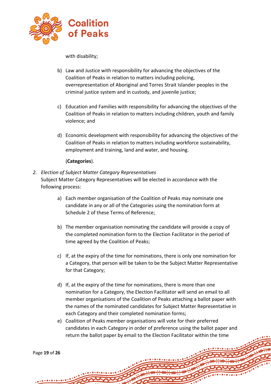

with disability;

- b) Law and Justice with responsibility for advancing the objectives of the Coalition of Peaks in relation to matters including policing, overrepresentation of Aboriginal and Torres Strait Islander peoples in the criminal justice system and in custody, and juvenile justice;
- c) Education and Families with responsibility for advancing the objectives of the Coalition of Peaks in relation to matters including children, youth and family violence; and
- d) Economic development with responsibility for advancing the objectives of the Coalition of Peaks in relation to matters including workforce sustainability, employment and training, land and water, and housing.

## (**Categories**).

- *2. Election of Subject Matter Category Representatives* Subject Matter Category Representatives will be elected in accordance with the following process:
	- a) Each member organisation of the Coalition of Peaks may nominate one candidate in any or all of the Categories using the nomination form at Schedule 2 of these Terms of Reference;
	- b) The member organisation nominating the candidate will provide a copy of the completed nomination form to the Election Facilitator in the period of time agreed by the Coalition of Peaks;
	- c) If, at the expiry of the time for nominations, there is only one nomination for a Category, that person will be taken to be the Subject Matter Representative for that Category;
	- d) If, at the expiry of the time for nominations, there is more than one nomination for a Category, the Election Facilitator will send an email to all member organisations of the Coalition of Peaks attaching a ballot paper with the names of the nominated candidates for Subject Matter Representative in each Category and their completed nomination forms;
	- e) Coalition of Peaks member organisations will vote for their preferred candidates in each Category in order of preference using the ballot paper and return the ballot paper by email to the Election Facilitator within the time

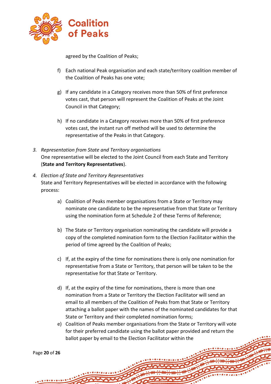

agreed by the Coalition of Peaks;

- f) Each national Peak organisation and each state/territory coalition member of the Coalition of Peaks has one vote;
- g) If any candidate in a Category receives more than 50% of first preference votes cast, that person will represent the Coalition of Peaks at the Joint Council in that Category;
- h) If no candidate in a Category receives more than 50% of first preference votes cast, the instant run off method will be used to determine the representative of the Peaks in that Category.
- *3. Representation from State and Territory organisations* One representative will be elected to the Joint Council from each State and Territory (**State and Territory Representatives**).
- *4. Election of State and Territory Representatives* State and Territory Representatives will be elected in accordance with the following process:
	- a) Coalition of Peaks member organisations from a State or Territory may nominate one candidate to be the representative from that State or Territory using the nomination form at Schedule 2 of these Terms of Reference;
	- b) The State or Territory organisation nominating the candidate will provide a copy of the completed nomination form to the Election Facilitator within the period of time agreed by the Coalition of Peaks;
	- c) If, at the expiry of the time for nominations there is only one nomination for representative from a State or Territory, that person will be taken to be the representative for that State or Territory.
	- d) If, at the expiry of the time for nominations, there is more than one nomination from a State or Territory the Election Facilitator will send an email to all members of the Coalition of Peaks from that State or Territory attaching a ballot paper with the names of the nominated candidates for that State or Territory and their completed nomination forms;
	- e) Coalition of Peaks member organisations from the State or Territory will vote for their preferred candidate using the ballot paper provided and return the ballot paper by email to the Election Facilitator within the

Page **20** of **26**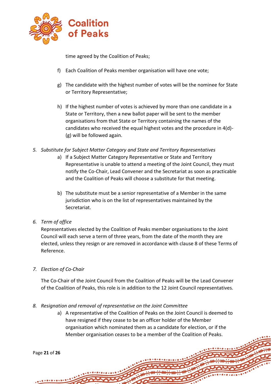

time agreed by the Coalition of Peaks;

- f) Each Coalition of Peaks member organisation will have one vote;
- g) The candidate with the highest number of votes will be the nominee for State or Territory Representative;
- h) If the highest number of votes is achieved by more than one candidate in a State or Territory, then a new ballot paper will be sent to the member organisations from that State or Territory containing the names of the candidates who received the equal highest votes and the procedure in 4(d)- (g) will be followed again.
- *5. Substitute for Subject Matter Category and State and Territory Representatives*
	- a) If a Subject Matter Category Representative or State and Territory Representative is unable to attend a meeting of the Joint Council, they must notify the Co-Chair, Lead Convener and the Secretariat as soon as practicable and the Coalition of Peaks will choose a substitute for that meeting.
	- b) The substitute must be a senior representative of a Member in the same jurisdiction who is on the list of representatives maintained by the Secretariat.
- *6. Term of office*

Representatives elected by the Coalition of Peaks member organisations to the Joint Council will each serve a term of three years, from the date of the month they are elected, unless they resign or are removed in accordance with clause 8 of these Terms of Reference.

*7. Election of Co-Chair*

The Co-Chair of the Joint Council from the Coalition of Peaks will be the Lead Convener of the Coalition of Peaks, this role is in addition to the 12 Joint Council representatives.

- *8. Resignation and removal of representative on the Joint Committee*
	- a) A representative of the Coalition of Peaks on the Joint Council is deemed to have resigned if they cease to be an officer holder of the Member organisation which nominated them as a candidate for election, or if the Member organisation ceases to be a member of the Coalition of Peaks.

Page **21** of **26**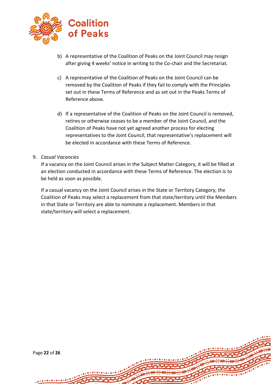

- b) A representative of the Coalition of Peaks on the Joint Council may resign after giving 4 weeks' notice in writing to the Co-chair and the Secretariat.
- c) A representative of the Coalition of Peaks on the Joint Council can be removed by the Coalition of Peaks if they fail to comply with the Principles set out in these Terms of Reference and as set out in the Peaks Terms of Reference above.
- d) If a representative of the Coalition of Peaks on the Joint Council is removed, retires or otherwise ceases to be a member of the Joint Council, and the Coalition of Peaks have not yet agreed another process for electing representatives to the Joint Council, that representative's replacement will be elected in accordance with these Terms of Reference.

## 9. *Casual Vacancies*

If a vacancy on the Joint Council arises in the Subject Matter Category, it will be filled at an election conducted in accordance with these Terms of Reference. The election is to be held as soon as possible.

If a casual vacancy on the Joint Council arises in the State or Territory Category, the Coalition of Peaks may select a replacement from that state/territory until the Members in that State or Territory are able to nominate a replacement. Members in that state/territory will select a replacement.

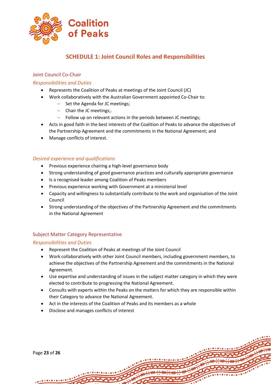

# **SCHEDULE 1: Joint Council Roles and Responsibilities**

## <span id="page-22-1"></span><span id="page-22-0"></span>Joint Council Co-Chair

## *Responsibilities and Duties*

- Represents the Coalition of Peaks at meetings of the Joint Council (JC)
- Work collaboratively with the Australian Government appointed Co-Chair to:
	- − Set the Agenda for JC meetings;
	- − Chair the JC meetings;.
	- − Follow up on relevant actions in the periods between JC meetings;
- Acts in good faith in the best interests of the Coalition of Peaks to advance the objectives of the Partnership Agreement and the commitments in the National Agreement; and
- Manage conflicts of interest.

## *Desired experience and qualifications*

- Previous experience chairing a high-level governance body
- Strong understanding of good governance practices and culturally appropriate governance
- Is a recognised leader among Coalition of Peaks members
- Previous experience working with Government at a ministerial level
- Capacity and willingness to substantially contribute to the work and organisation of the Joint Council
- Strong understanding of the objectives of the Partnership Agreement and the commitments in the National Agreement

## <span id="page-22-2"></span>Subject Matter Category Representative

## *Responsibilities and Duties*

- Represent the Coalition of Peaks at meetings of the Joint Council
- Work collaboratively with other Joint Council members, including government members, to achieve the objectives of the Partnership Agreement and the commitments in the National Agreement.
- Use expertise and understanding of issues in the subject matter category in which they were elected to contribute to progressing the National Agreement.
- Consults with experts within the Peaks on the matters for which they are responsible within their Category to advance the National Agreement.
- Act in the interests of the Coalition of Peaks and its members as a whole
- Disclose and manages conflicts of interest

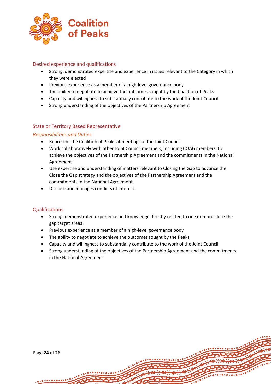

## Desired experience and qualifications

- Strong, demonstrated expertise and experience in issues relevant to the Category in which they were elected
- Previous experience as a member of a high-level governance body
- The ability to negotiate to achieve the outcomes sought by the Coalition of Peaks
- Capacity and willingness to substantially contribute to the work of the Joint Council
- Strong understanding of the objectives of the Partnership Agreement

## <span id="page-23-0"></span>State or Territory Based Representative

## *Responsibilities and Duties*

- Represent the Coalition of Peaks at meetings of the Joint Council
- Work collaboratively with other Joint Council members, including COAG members, to achieve the objectives of the Partnership Agreement and the commitments in the National Agreement.
- Use expertise and understanding of matters relevant to Closing the Gap to advance the Close the Gap strategy and the objectives of the Partnership Agreement and the commitments in the National Agreement.
- Disclose and manages conflicts of interest.

## Qualifications

- Strong, demonstrated experience and knowledge directly related to one or more close the gap target areas.
- Previous experience as a member of a high-level governance body
- The ability to negotiate to achieve the outcomes sought by the Peaks
- Capacity and willingness to substantially contribute to the work of the Joint Council
- Strong understanding of the objectives of the Partnership Agreement and the commitments in the National Agreement

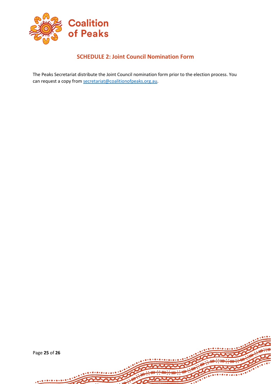

# **SCHEDULE 2: Joint Council Nomination Form**

<span id="page-24-0"></span>The Peaks Secretariat distribute the Joint Council nomination form prior to the election process. You can request a copy fro[m secretariat@coalitionofpeaks.org.au.](mailto:secretariat@coalitionofpeaks.org.au)